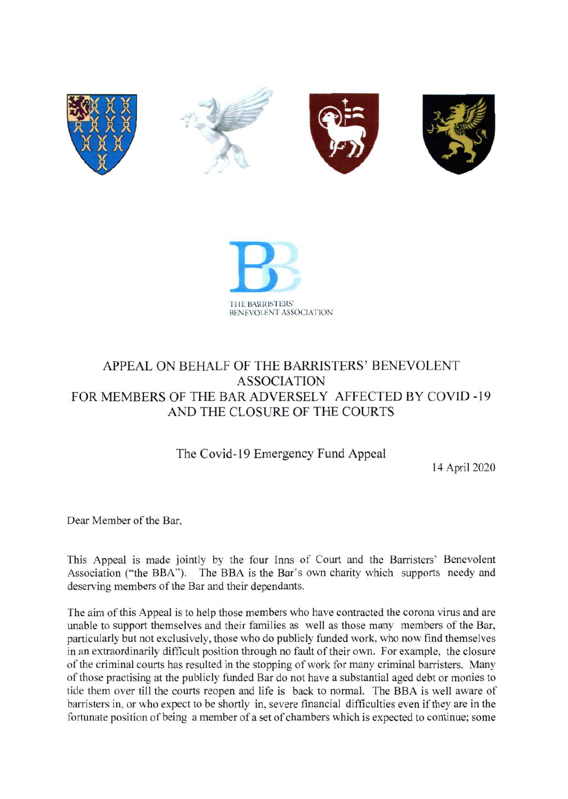



# APPEAL ON BEHALF OF THE BARRISTERS' BENEVOLENT **ASSOCIATION** FOR MEMBERS OF THE BAR ADVERSELY AFFECTED BY COVID-19 AND THE CLOSURE OF THE COURTS

The Covid-19 Emergency Fund Appeal

14 April 2020

Dear Member of the Bar,

This Appeal is made jointly by the four Inns of Court and the Barristers' Benevolent Association ("the BBA"). The BBA is the Bar's own charity which supports needy and deserving members of the Bar and their dependants.

The aim of this Appeal is to help those members who have contracted the corona virus and are unable to support themselves and their families as well as those many members of the Bar, particularly but not exclusively, those who do publicly funded work, who now find themselves in an extraordinarily difficult position through no fault of their own. For example, the closure of the criminal courts has resulted in the stopping of work for many criminal barristers. Many of those practising at the publicly funded Bar do not have a substantial aged debt or monies to tide them over till the courts reopen and life is back to normal. The BBA is well aware of barristers in, or who expect to be shortly in, severe financial difficulties even if they are in the fortunate position of being a member of a set of chambers which is expected to continue; some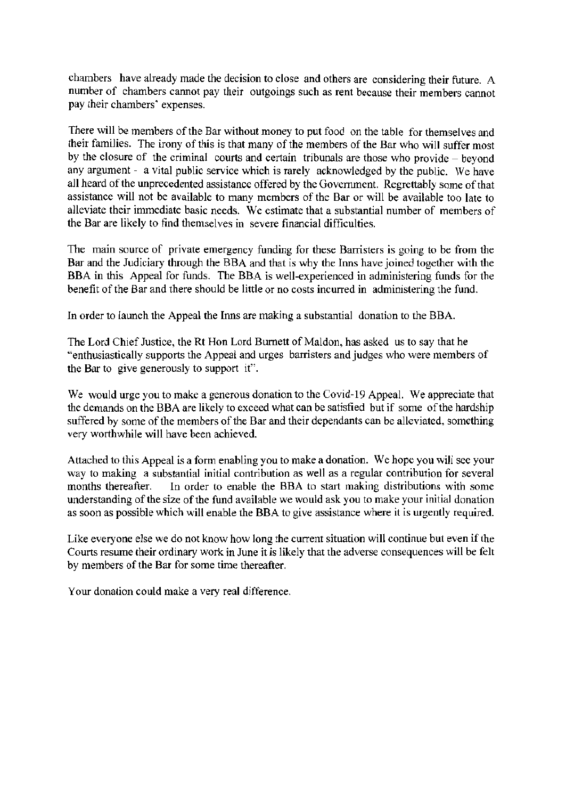chambers have already made the decision to close and others are considering their future. A number of chambers cannot pay their outgoings such as rent because their members cannot pay their chambers' expenses.

There will be members of the Bar without money to put food on the table for themselves and their families. The irony of this is that many of the members of the Bar who will suffer most by the closure of the criminal courts and certain tribunals are those who provide - beyond any argument - a vital public service which is rarely acknowledged by the public. We have all heard of the unprecedented assistance offered by the Government. Regrettably some of that assistance will not be available to many members of the Bar or will be available too late to alleviate their immediate basic needs. We estimate that a substantial number of members of the Bar are likely to find themselves in severe financial difficulties.

The main source of private emergency funding for these Barristers is going to be from the Bar and the Judiciary through the BBA and that is why the Inns have joined together with the BBA in this Appeal for funds. The BBA is well-experienced in administering funds for the benefit of the Bar and there should be little or no costs incurred in administering the fund.

In order to launch the Appeal the Inns are making a substantial donation to the BBA.

The Lord Chief Justice, the Rt Hon Lord Burnett of Maldon, has asked us to say that he "enthusiastically supports the Appeal and urges barristers and judges who were members of the Bar to give generously to support it".

We would urge you to make a generous donation to the Covid-19 Appeal. We appreciate that the demands on the BBA are likely to exceed what can be satisfied but if some of the hardship suffered by some of the members of the Bar and their dependants can be alleviated, something very worthwhile will have been achieved.

Attached to this Appeal is a form enabling you to make a donation. We hope you will see your way to making a substantial initial contribution as well as a regular contribution for several months thereafter. In order to enable the BBA to start making distributions with some understanding of the size of the fund available we would ask you to make your initial donation as soon as possible which will enable the BBA to give assistance where it is urgently required.

Like everyone else we do not know how long the current situation will continue but even if the Courts resume their ordinary work in June it is likely that the adverse consequences will be felt by members of the Bar for some time thereafter.

Your donation could make a very real difference.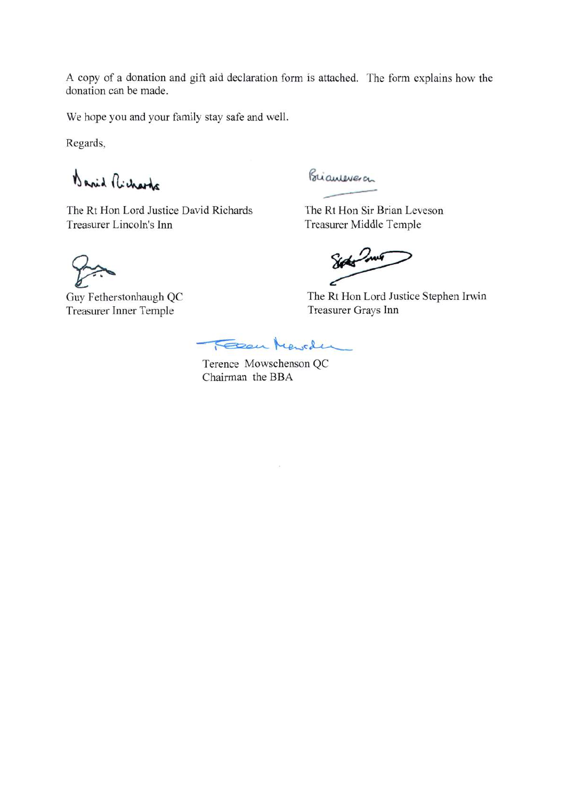A copy of a donation and gift aid declaration form is attached. The form explains how the donation can be made.

We hope you and your family stay safe and well.

Regards,

Barid Richards

The Rt Hon Lord Justice David Richards Treasurer Lincoln's Inn

Briannevera

The Rt Hon Sir Brian Leveson Treasurer Middle Temple

Sophis Jones

The Rt Hon Lord Justice Stephen Irwin Treasurer Grays Inn

Guy Fetherstonhaugh QC **Treasurer Inner Temple** 

Feen Keyder

Terence Mowschenson QC Chairman the BBA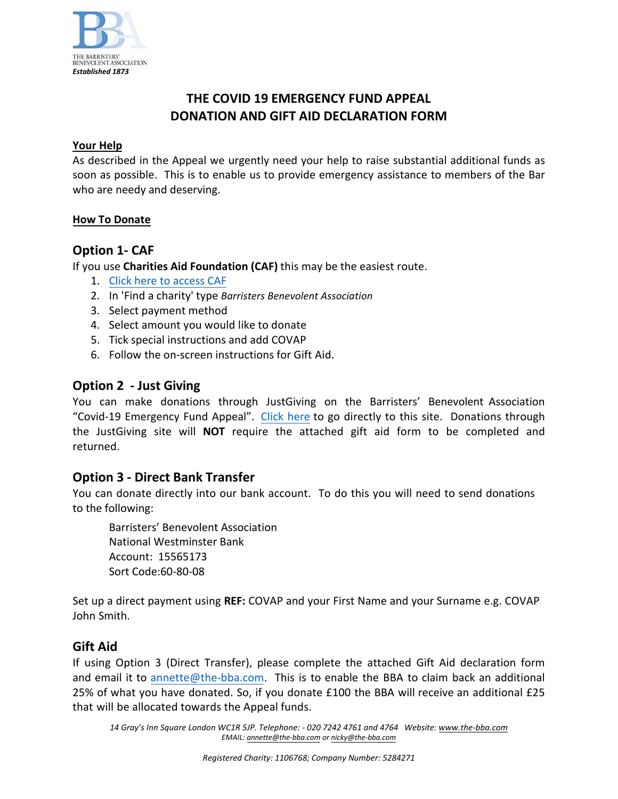

## **THE COVID 19 EMERGENCY FUND APPEAL DONATION AND GIFT AID DECLARATION FORM**

### **Your Help**

As described in the Appeal we urgently need your help to raise substantial additional funds as soon as possible. This is to enable us to provide emergency assistance to members of the Bar who are needy and deserving.

### **How To Donate**

### **Option 1- CAF**

If you use **Charities Aid Foundation (CAF)** this may be the easiest route.

- 1. [Click here to access CAF](https://www.cafonline.org/system/charity-search-results)
- 2. In 'Find a charity' type *Barristers Benevolent Association*
- 3. Select payment method
- 4. Select amount you would like to donate
- 5. Tick special instructions and add COVAP
- 6. Follow the on-screen instructions for Gift Aid.

### **Option 2 - Just Giving**

You can make donations through JustGiving on the Barristers' Benevolent Association "Covid-19 Emergency Fund Appeal". [Click here](www.justgiving.com/campaign/BBACOVID19) to go directly to this site. Donations through the JustGiving site will **NOT** require the attached gift aid form to be completed and returned.

### **Option 3 - Direct Bank Transfer**

You can donate directly into our bank account. To do this you will need to send donations to the following:

Barristers' Benevolent Association National Westminster Bank Account: 15565173 Sort Code:60-80-08

Set up a direct payment using **REF:** COVAP and your First Name and your Surname e.g. COVAP John Smith.

### **Gift Aid**

If using Option 3 (Direct Transfer), please complete the attached Gift Aid declaration form and email it t[o annette@the-bba.com.](mailto:annette@the-bba.com) This is to enable the BBA to claim back an additional 25% of what you have donated. So, if you donate £100 the BBA will receive an additional £25 that will be allocated towards the Appeal funds.